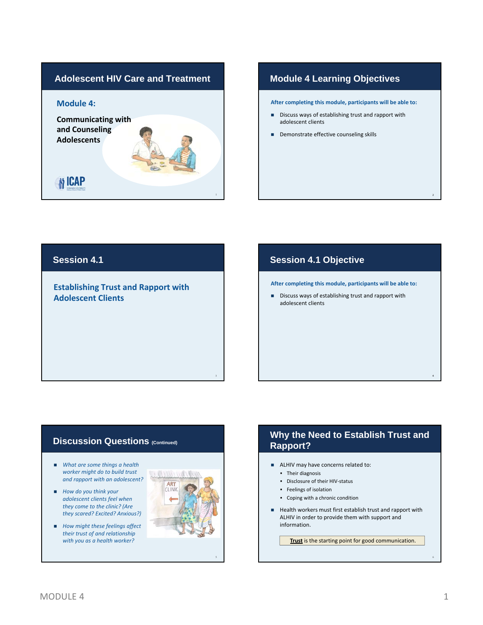

### **Module 4 Learning Objectives**

**After completing this module, participants will be able to:**

- Discuss ways of establishing trust and rapport with adolescent clients
- Demonstrate effective counseling skills

#### **Session 4.1**

#### **Establishing Trust and Rapport with Adolescent Clients**

#### **Session 4.1 Objective**

**After completing this module, participants will be able to:**

Discuss ways of establishing trust and rapport with adolescent clients

#### **Discussion Questions (Continued)**

- *What are some things a health worker might do to build trust and rapport with an adolescent?*
- *How do you think your adolescent clients feel when they come to the clinic? (Are they scared? Excited? Anxious?)*
- *How might these feelings affect their trust of and relationship with you as a health worker?*



3

### **Why the Need to Establish Trust and Rapport?**

- ALHIV may have concerns related to:
	- **•** Their diagnosis
	- Disclosure of their HIV-status
	- **Feelings of isolation**
	- Coping with a chronic condition
- Health workers must first establish trust and rapport with ALHIV in order to provide them with support and information.

**Trust** is the starting point for good communication.

2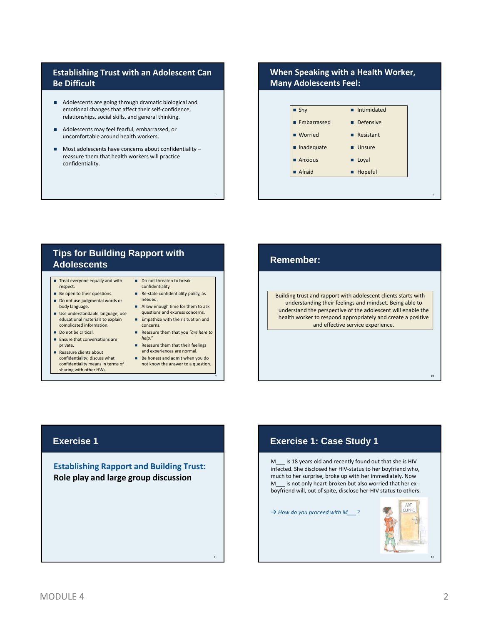#### **Establishing Trust with an Adolescent Can Be Difficult**

- Adolescents are going through dramatic biological and emotional changes that affect their self‐confidence, relationships, social skills, and general thinking.
- Adolescents may feel fearful, embarrassed, or uncomfortable around health workers.
- $\blacksquare$  Most adolescents have concerns about confidentiality reassure them that health workers will practice confidentiality.

#### **When Speaking with a Health Worker, Many Adolescents Feel:**



### **Tips for Building Rapport with Adolescents**

- $\blacksquare$  Treat everyone equally and with respect.
- Be open to their questions. Do not use judgmental words or body language.
- Use understandable language; use educational materials to explain complicated information.
- Do not be critical.
- **Ensure that conversations are** private.
- Reassure clients about confidentiality; discuss what
- confidentiality means in terms of sharing with other HWs.

Do not threaten to break confidentiality. ■ Re-state confidentiality policy, as 7

9

- needed. **Allow enough time for them to ask** questions and express concerns.
- **Empathize with their situation and** concerns.
- Reassure them that you *"are here to help."*
- Reassure them that their feelings and experiences are normal.
- Be honest and admit when you do not know the answer to a question.

Building trust and rapport with adolescent clients starts with understanding their feelings and mindset. Being able to understand the perspective of the adolescent will enable the health worker to respond appropriately and create a positive and effective service experience. **Remember:**<br>
Building trust and rapport with adolescent clients starts with<br>
understanding their feelings and mindset. Being able to<br>
understand the perspective of the adolescent will enable the<br>
health worker to respond a

### **Exercise 1**

**Establishing Rapport and Building Trust: Role play and large group discussion**

## **Exercise 1: Case Study 1**

M\_\_\_ is 18 years old and recently found out that she is HIV infected. She disclosed her HIV‐status to her boyfriend who, much to her surprise, broke up with her immediately. Now M is not only heart‐broken but also worried that her ex‐ boyfriend will, out of spite, disclose her‐HIV status to others.

*How do you proceed with M\_\_\_?*

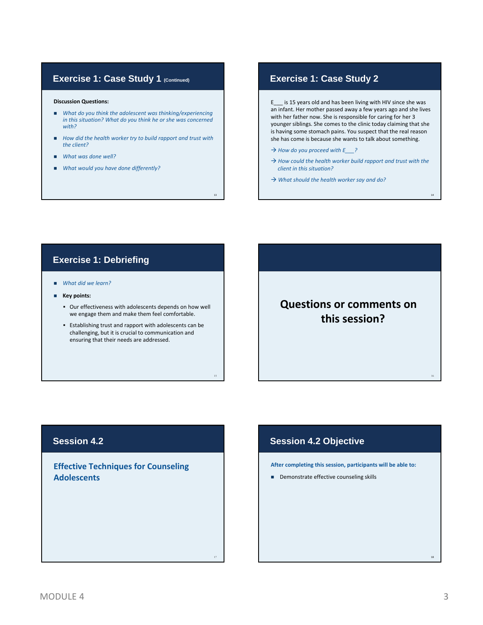#### **Exercise 1: Case Study 1 (Continued)**

#### **Discussion Questions:**

- *What do you think the adolescent was thinking/experiencing in this situation? What do you think he or she was concerned with?*
- *How did the health worker try to build rapport and trust with the client?*

13

- *What was done well?*
- *What would you have done differently?*

#### **Exercise 1: Case Study 2**

E\_\_\_ is 15 years old and has been living with HIV since she was an infant. Her mother passed away a few years ago and she lives with her father now. She is responsible for caring for her 3 younger siblings. She comes to the clinic today claiming that she is having some stomach pains. You suspect that the real reason she has come is because she wants to talk about something.

- *How do you proceed with E\_\_\_?*
- *How could the health worker build rapport and trust with the client in this situation?*

14

*What should the health worker say and do?*

### **Exercise 1: Debriefing**

- *What did we learn?*
- **Key points:**
	- Our effectiveness with adolescents depends on how well we engage them and make them feel comfortable.
	- Establishing trust and rapport with adolescents can be challenging, but it is crucial to communication and ensuring that their needs are addressed.

# **Questions or comments on this session?**

### **Session 4.2**

**Effective Techniques for Counseling Adolescents**

#### **Session 4.2 Objective**

15 and 16 and 16 and 16 and 16 and 16 and 16 and 16 and 16 and 16 and 16 and 16 and 16 and 16 and 16

**After completing this session, participants will be able to:**

Demonstrate effective counseling skills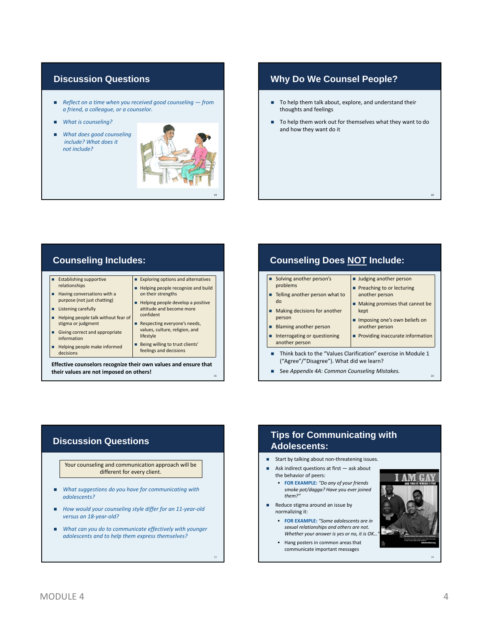#### **Discussion Questions**

- *Reflect on a time when you received good counseling from a friend, a colleague, or a counselor.*
- *What is counseling?*
- *What does good counseling include? What does it not include?*



### **Why Do We Counsel People?**

- To help them talk about, explore, and understand their thoughts and feelings
- To help them work out for themselves what they want to do and how they want do it

### **Counseling Includes:**

- Establishing supportive relationships
- Having conversations with a purpose (not just chatting)
- **Listening carefully**
- Helping people talk without fear of stigma or judgment
- Giving correct and appropriate information
- Helping people make informed decisions

#### Helping people recognize and build on their strengths Helping people develop a positive attitude and become more confident

**Exploring options and alternatives** 

Respecting everyone's needs, values, culture, religion, and lifestyle

Being willing to trust clients' feelings and decisions

21

**Effective counselors recognize their own values and ensure that their values are not imposed on others!**

### **Counseling Does NOT Include:**

| Solving another person's                                                                                                    | ■ Judging another person         |  |
|-----------------------------------------------------------------------------------------------------------------------------|----------------------------------|--|
| problems                                                                                                                    | Preaching to or lecturing        |  |
| ■ Telling another person what to                                                                                            | another person                   |  |
| do                                                                                                                          | Making promises that cannot be   |  |
| Making decisions for another                                                                                                | kept                             |  |
| person                                                                                                                      | Imposing one's own beliefs on    |  |
| Blaming another person                                                                                                      | another person                   |  |
| Interrogating or questioning                                                                                                | Providing inaccurate information |  |
| another person<br>Think back to the "Values Clarification" exercise in Module 1<br>("Agree"/"Disagree"). What did we learn? |                                  |  |

See *Appendix 4A: Common Counseling Mistakes.*

### **Discussion Questions**

Your counseling and communication approach will be different for every client.

- *What suggestions do you have for communicating with adolescents?*
- *How would your counseling style differ for an 11‐year‐old versus an 18‐year‐old?*
- *What can you do to communicate effectively with younger adolescents and to help them express themselves?*

### **Tips for Communicating with Adolescents:**

- Start by talking about non-threatening issues.
- Ask indirect questions at first ask about the behavior of peers:
	- **FOR EXAMPLE:** *"Do any of your friends smoke pot/dagga? Have you ever joined them?"*
- Reduce stigma around an issue by normalizing it:
	- **FOR EXAMPLE:** *"Some adolescents are in sexual relationships and others are not. Whether your answer is yes or no, it is OK…"*
	- Hang posters in common areas that communicate important messages



20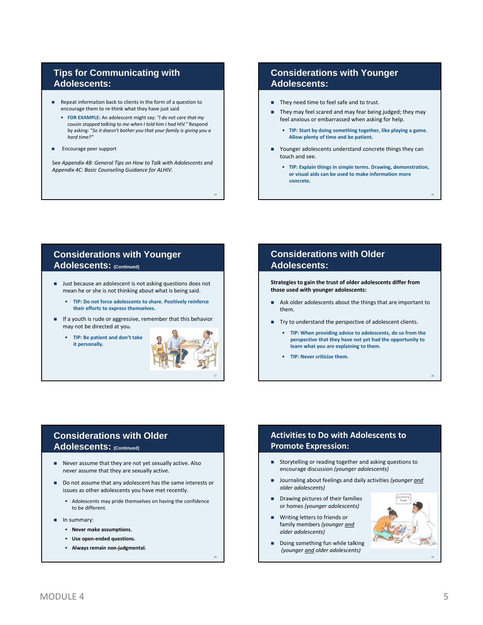### **Tips for Communicating with Adolescents:**

- Repeat information back to clients in the form of a question to encourage them to re‐think what they have just said
	- **FOR EXAMPLE:** An adolescent might say: *"I do not care that my cousin stopped talking to me when I told him I had HIV."* Respond by asking: "*So it doesn't bother you that your family is giving you a hard time?"*
- Encourage peer support

See *Appendix 4B: General Tips on How to Talk with Adolescents* and *Appendix 4C: Basic Counseling Guidance for ALHIV.*

### **Considerations with Younger Adolescents:**

- They need time to feel safe and to trust.
- They may feel scared and may fear being judged; they may feel anxious or embarrassed when asking for help.
	- **TIP: Start by doing something together, like playing a game. Allow plenty of time and be patient.**
- Younger adolescents understand concrete things they can touch and see.
	- **TIP: Explain things in simple terms. Drawing, demonstration, or visual aids can be used to make information more concrete.**

26

28

### **Considerations with Younger Adolescents: (Continued)**

- **Just because an adolescent is not asking questions does not** mean he or she is not thinking about what is being said.
	- **TIP: Do not force adolescents to share. Positively reinforce their efforts to express themselves.**
- **If a youth is rude or aggressive, remember that this behavior** may not be directed at you.
	- **TIP: Be patient and don't take it personally.**



29

25

#### **Considerations with Older Adolescents:**

**Strategies to gain the trust of older adolescents differ from those used with younger adolescents:**

- Ask older adolescents about the things that are important to them.
- Try to understand the perspective of adolescent clients.
	- **TIP: When providing advice to adolescents, do so from the perspective that they have not yet had the opportunity to learn what you are explaining to them.**
	- **TIP: Never criticize them.**

### **Considerations with Older Adolescents: (Continued)**

- Never assume that they are not yet sexually active. Also never assume that they are sexually active.
- Do not assume that any adolescent has the same interests or issues as other adolescents you have met recently.
	- Adolescents may pride themselves on having the confidence to be different.
- In summary:
	- **Never make assumptions.**
	- **Use open‐ended questions.**
	- **Always remain non‐judgmental.**

### **Activities to Do with Adolescents to Promote Expression:**

- Storytelling or reading together and asking questions to encourage discussion *(younger adolescents)*
- Journaling about feelings and daily activities *(younger and older adolescents)*
- **Drawing pictures of their families** or homes *(younger adolescents)*
- Writing letters to friends or family members *(younger and older adolescents)*
- Doing something fun while talking *(younger and older adolescents)*

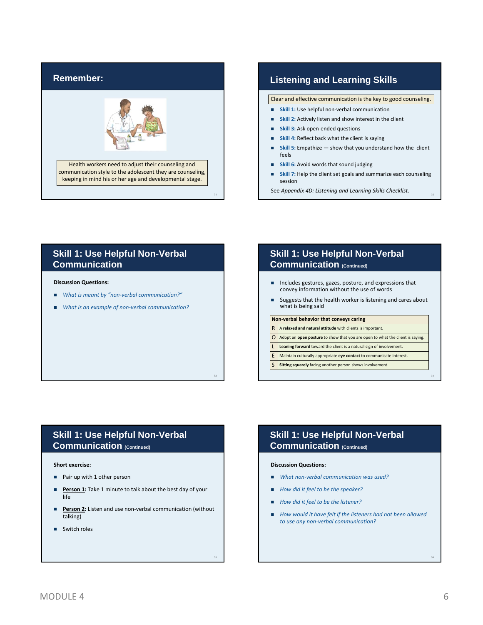

#### **Listening and Learning Skills**

Clear and effective communication is the key to good counseling.

- **Skill 1:** Use helpful non-verbal communication
- **Skill 2:** Actively listen and show interest in the client
- **Skill 3:** Ask open‐ended questions
- **Skill 4:** Reflect back what the client is saying
- **Skill 5:** Empathize show that you understand how the client feels
- **Skill 6:** Avoid words that sound judging
- **Skill 7:** Help the client set goals and summarize each counseling session

See *Appendix 4D: Listening and Learning Skills Checklist.* <sup>32</sup>

#### **Skill 1: Use Helpful Non-Verbal Communication**

#### **Discussion Questions:**

- *What is meant by "non‐verbal communication?"*
- *What is an example of non-verbal communication?*

#### **Skill 1: Use Helpful Non-Verbal Communication (Continued)**

- Includes gestures, gazes, posture, and expressions that convey information without the use of words
- Suggests that the health worker is listening and cares about what is being said

#### **Non‐verbal behavior that conveys caring** R A **relaxed and natural attitude** with clients is important.

- **O** Adopt an **open posture** to show that you are open to what the client is saying.
- 
- L **Leaning forward** toward the client is a natural sign of involvement.
- E Maintain culturally appropriate **eye contact** to communicate interest.

#### **Sitting squarely** facing another person shows involvement.

#### **Skill 1: Use Helpful Non-Verbal Communication (Continued)**

#### **Short exercise:**

- Pair up with 1 other person
- **Person 1:** Take 1 minute to talk about the best day of your life
- **Person 2:** Listen and use non-verbal communication (without talking)
- **Switch roles**

### **Skill 1: Use Helpful Non-Verbal Communication (Continued)**

#### **Discussion Questions:**

33

35

- *What non‐verbal communication was used?*
- *How did it feel to be the speaker?*
- *How did it feel to be the listener?*
- *How would it have felt if the listeners had not been allowed to use any non‐verbal communication?*

36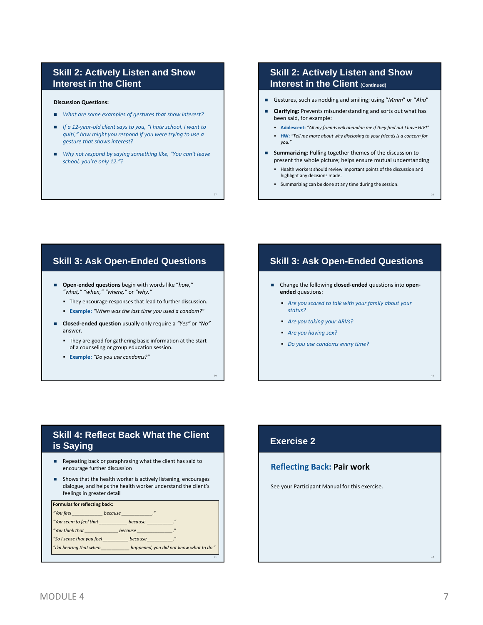#### **Skill 2: Actively Listen and Show Interest in the Client**

#### **Discussion Questions:**

- *What are some examples of gestures that show interest?*
- *If a 12‐year‐old client says to you, "I hate school, I want to quit!," how might you respond if you were trying to use a gesture that shows interest?*
- *Why not respond by saying something like, "You can't leave school, you're only 12."?*

37

39

#### **Skill 2: Actively Listen and Show Interest in the Client (Continued)**

- Gestures, such as nodding and smiling; using "*Mmm*" or "*Aha*"
- **Clarifying:** Prevents misunderstanding and sorts out what has been said, for example:
	- **Adolescent:** *"All my friends will abandon me if they find out I have HIV!"*
	- **HW:** *"Tell me more about why disclosing to your friendsis a concern for you."*
- **Summarizing:** Pulling together themes of the discussion to present the whole picture; helps ensure mutual understanding
	- Health workers should review important points of the discussion and highlight any decisions made.

38

40

Summarizing can be done at any time during the session.

#### **Skill 3: Ask Open-Ended Questions**

- **Open‐ended questions** begin with words like "*how," "what," "when," "where,"* or *"why."*
	- They encourage responses that lead to further discussion.
	- **Example:** *"When was the last time you used a condom?"*
- **Closed‐ended question** usually only require a *"Yes"* or *"No"* answer.
	- They are good for gathering basic information at the start of a counseling or group education session.
	- **Example:** *"Do you use condoms?"*

#### **Skill 3: Ask Open-Ended Questions**

- Change the following **closed‐ended** questions into **open‐ ended** questions:
	- *Are you scared to talk with your family about your status?*
	- *Are you taking your ARVs?*
	- *Are you having sex?*
	- *Do you use condoms every time?*

#### **Skill 4: Reflect Back What the Client is Saying**

- Repeating back or paraphrasing what the client has said to encourage further discussion
- Shows that the health worker is actively listening, encourages dialogue, and helps the health worker understand the client's feelings in greater detail

| Formulas for reflecting back: |         |                                                                                                                                                                                                                               |
|-------------------------------|---------|-------------------------------------------------------------------------------------------------------------------------------------------------------------------------------------------------------------------------------|
| "You feel                     | because | $\boldsymbol{\eta}$                                                                                                                                                                                                           |
| "You seem to feel that        |         | because for the season of the season of the season of the season of the season of the season of the season of the season of the season of the season of the season of the season of the season of the season of the season of |
| "You think that               | because |                                                                                                                                                                                                                               |
| "So I sense that you feel     |         | because because                                                                                                                                                                                                               |
| "I'm hearing that when        |         | happened, you did not know what to do."                                                                                                                                                                                       |
|                               |         | 41                                                                                                                                                                                                                            |

## **Exercise 2**

#### **Reflecting Back: Pair work**

See your Participant Manual for this exercise.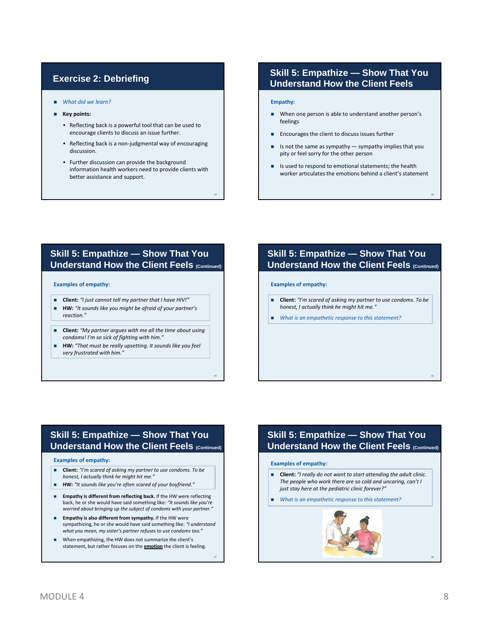### **Exercise 2: Debriefing**

- *What did we learn?*
- **Key points:**
	- Reflecting back is a powerful tool that can be used to encourage clients to discuss an issue further.
	- Reflecting back is a non-judgmental way of encouraging discussion.
	- Further discussion can provide the background information health workers need to provide clients with better assistance and support.

43

45

47

### **Skill 5: Empathize — Show That You Understand How the Client Feels**

#### **Empathy:**

- When one person is able to understand another person's feelings
- **Encourages the client to discuss issues further**
- Is not the same as sympathy sympathy implies that you pity or feel sorry for the other person
- Is used to respond to emotional statements; the health worker articulates the emotions behind a client's statement

44

46

#### **Skill 5: Empathize — Show That You Understand How the Client Feels (Continued)**

#### **Examples of empathy:**

- **Client:** *"I just cannot tell my partner that I have HIV!"*
- **HW:** *"It sounds like you might be afraid of your partner's reaction."*
- **Client:** *"My partner argues with me all the time about using condoms! I'm so sick of fighting with him."*
- **HW:** *"That must be really upsetting. It sounds like you feel very frustrated with him."*

#### **Skill 5: Empathize — Show That You Understand How the Client Feels (Continued)**

#### **Examples of empathy:**

- **Client:** *"I'm scared of asking my partner to use condoms. To be honest, I actually think he might hit me."*
- *What is an empathetic response to this statement?*

### **Skill 5: Empathize — Show That You Understand How the Client Feels (Continued)**

#### **Examples of empathy:**

- **Client:** *"I'm scared of asking my partner to use condoms. To be honest, I actually think he might hit me."*
- **HW:** *"It sounds like you're often scared of your boyfriend."*
- **Empathy is different from reflecting back.** If the HW were reflecting back, he or she would have said something like: *"It sounds like you're worried about bringing up the subject of condoms with your partner."*
- **Empathy is also different from sympathy.** If the HW were sympathizing, he or she would have said something like: *"I understand what you mean, my sister's partner refuses to use condoms too."*
- When empathizing, the HW does not summarize the client's statement, but rather focuses on the **emotion** the client is feeling.

#### **Skill 5: Empathize — Show That You Understand How the Client Feels (Continued)**

#### **Examples of empathy:**

- **Client:** *"I really do not want to start attending the adult clinic. The people who work there are so cold and uncaring, can't I just stay here at the pediatric clinic forever?"*
- *What is an empathetic response to this statement?*

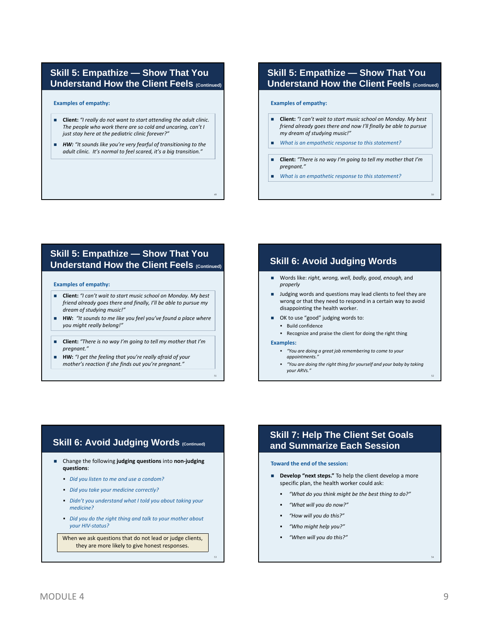#### **Skill 5: Empathize — Show That You Understand How the Client Feels (Continued)**

**Examples of empathy:**

- **Client:** *"I really do not want to start attending the adult clinic. The people who work there are so cold and uncaring, can't I just stay here at the pediatric clinic forever?"*
- *HW: "It sounds like you're very fearful of transitioning to the adult clinic. It's normal to feel scared, it's a big transition."*

49

51

### **Skill 5: Empathize — Show That You Understand How the Client Feels (Continued)**

#### **Examples of empathy:**

- **Client:** *"I can't wait to start music school on Monday. My best friend already goes there and now I'll finally be able to pursue my dream of studying music!"*
- *What is an empathetic response to this statement?*
- **Client:** *"There is no way I'm going to tell my mother that I'm pregnant."*

50

52

*What is an empathetic response to this statement?*

#### **Skill 5: Empathize — Show That You Understand How the Client Feels (Continued) Skill 6: Avoid Judging Words**

#### **Examples of empathy:**

- **Client:** *"I can't wait to start music school on Monday. My best friend already goes there and finally, I'll be able to pursue my dream of studying music!"*
- **HW:** *"It sounds to me like you feel you've found a place where you might really belong!"*
- **Client:** *"There is no way I'm going to tell my mother that I'm pregnant."*
- **HW:** *"I get the feeling that you're really afraid of your mother's reaction if she finds out you're pregnant."*

- Words like: *right, wrong, well, badly, good, enough,* and *properly*
- **Judging words and questions may lead clients to feel they are** wrong or that they need to respond in a certain way to avoid disappointing the health worker.
- OK to use "good" judging words to:
	- Build confidence
	- Recognize and praise the client for doing the right thing

#### **Examples:**

- *"You are doing a great job remembering to come to your appointments."*
- *"You are doing the right thing for yourself and your baby by taking your ARVs."*

### **Skill 6: Avoid Judging Words (Continued)**

- Change the following **judging questions** into **non‐judging questions**:
	- *Did you listen to me and use a condom?*
	- *Did you take your medicine correctly?*
	- *Didn't you understand what I told you about taking your medicine?*
	- *Did you do the right thing and talk to your mother about your HIV‐status?*

When we ask questions that do not lead or judge clients, they are more likely to give honest responses.

#### **Skill 7: Help The Client Set Goals and Summarize Each Session**

#### **Toward the end of the session:**

- **Develop "next steps."** To help the client develop a more specific plan, the health worker could ask:
	- *"What do you think might be the best thing to do?"*
	- *"What will you do now?"*
	- *"How will you do this?"*
	- *"Who might help you?"*
	- *"When will you do this?"*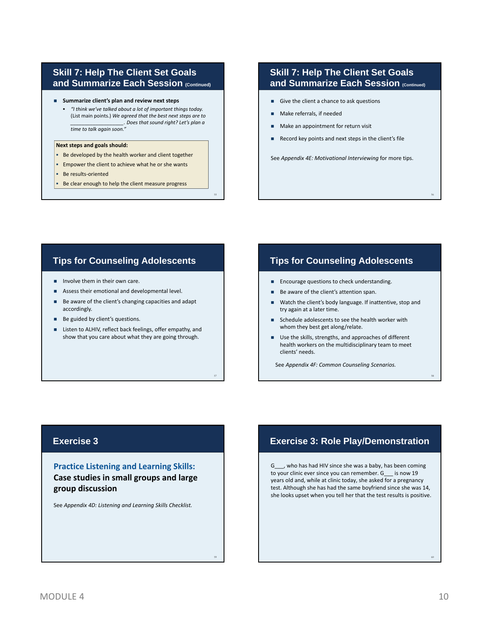#### **Skill 7: Help The Client Set Goals and Summarize Each Session (Continued)**

- **Summarize client's plan and review next steps**
	- *"I think we've talked about a lot of important things today.* (List main points.) *We agreed that the best next steps are to \_\_\_\_\_\_\_\_\_\_\_\_\_\_\_\_\_\_\_. Does that sound right? Let's plan a time to talk again soon."*

#### **Next steps and goals should:**

- Be developed by the health worker and client together
- **Empower the client to achieve what he or she wants**

55

57

59

- Be results-oriented
- Be clear enough to help the client measure progress

#### **Skill 7: Help The Client Set Goals and Summarize Each Session (Continued)**

- Give the client a chance to ask questions
- Make referrals, if needed
- Make an appointment for return visit
- Record key points and next steps in the client's file

See *Appendix 4E: Motivational Interviewing* for more tips.

#### **Tips for Counseling Adolescents**

- $\blacksquare$  Involve them in their own care.
- Assess their emotional and developmental level.
- Be aware of the client's changing capacities and adapt accordingly.
- Be guided by client's questions.
- Listen to ALHIV, reflect back feelings, offer empathy, and show that you care about what they are going through.

#### **Tips for Counseling Adolescents**

- **Encourage questions to check understanding.**
- Be aware of the client's attention span.
- Watch the client's body language. If inattentive, stop and try again at a later time.
- Schedule adolescents to see the health worker with whom they best get along/relate.
- Use the skills, strengths, and approaches of different health workers on the multidisciplinary team to meet clients' needs.

See *Appendix 4F: Common Counseling Scenarios.*

#### **Exercise 3**

**Practice Listening and Learning Skills: Case studies in small groups and large group discussion**

See *Appendix 4D: Listening and Learning Skills Checklist.*

#### **Exercise 3: Role Play/Demonstration**

G\_\_\_, who has had HIV since she was a baby, has been coming to your clinic ever since you can remember. G\_\_\_ is now 19 years old and, while at clinic today, she asked for a pregnancy test. Although she has had the same boyfriend since she was 14, she looks upset when you tell her that the test results is positive.

60

56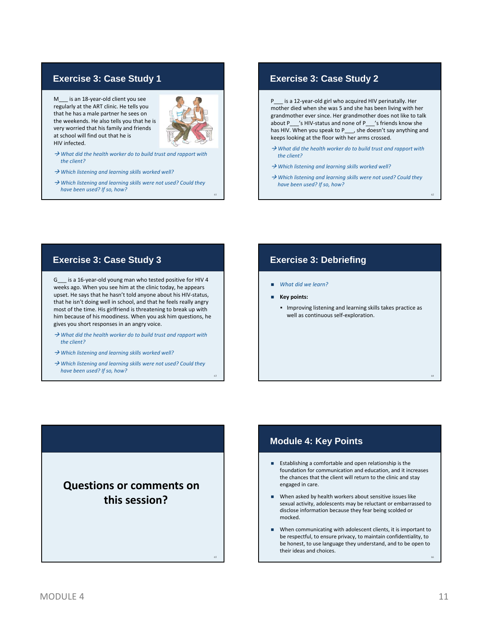#### **Exercise 3: Case Study 1**

M\_\_\_ is an 18-year-old client you see regularly at the ART clinic. He tells you that he has a male partner he sees on the weekends. He also tells you that he is very worried that his family and friends at school will find out that he is HIV infected.



61

63

65

- *What did the health worker do to build trust and rapport with the client?*
- *Which listening and learning skills worked well?*
- *Which listening and learning skills were not used? Could they have been used? If so, how?*

#### **Exercise 3: Case Study 2**

P\_\_\_ is a 12‐year‐old girl who acquired HIV perinatally. Her mother died when she was 5 and she has been living with her grandmother ever since. Her grandmother does not like to talk about P /s HIV-status and none of P /s friends know she has HIV. When you speak to P\_\_\_, she doesn't say anything and keeps looking at the floor with her arms crossed.

- *What did the health worker do to build trust and rapport with the client?*
- *Which listening and learning skills worked well?*
- *Which listening and learning skills were not used? Could they have been used? If so, how?*

62

64

### **Exercise 3: Case Study 3**

G\_\_\_ is a 16‐year‐old young man who tested positive for HIV 4 weeks ago. When you see him at the clinic today, he appears upset. He says that he hasn't told anyone about his HIV‐status, that he isn't doing well in school, and that he feels really angry most of the time. His girlfriend is threatening to break up with him because of his moodiness. When you ask him questions, he gives you short responses in an angry voice.

- *What did the health worker do to build trust and rapport with the client?*
- *Which listening and learning skills worked well?*
- *Which listening and learning skills were not used? Could they have been used? If so, how?*

**Questions or comments on this session?**

#### **Exercise 3: Debriefing**

- *What did we learn?*
- **Key points:**
	- Improving listening and learning skills takes practice as well as continuous self‐exploration.

#### **Module 4: Key Points**

- **Establishing a comfortable and open relationship is the** foundation for communication and education, and it increases the chances that the client will return to the clinic and stay engaged in care.
- When asked by health workers about sensitive issues like sexual activity, adolescents may be reluctant or embarrassed to disclose information because they fear being scolded or mocked.
- When communicating with adolescent clients, it is important to be respectful, to ensure privacy, to maintain confidentiality, to be honest, to use language they understand, and to be open to their ideas and choices.